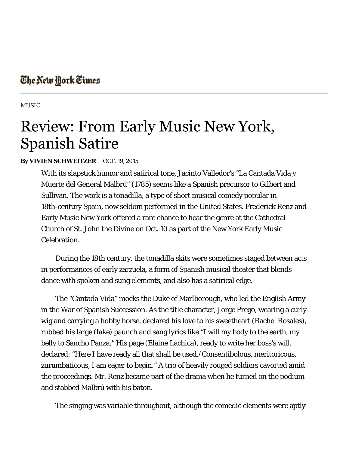## The New York Times

MUSIC

## **Review: From Early Music New York, Spanish Satire**

## **By VIVIEN SCHWEITZER** OCT. 19, 2015

With its slapstick humor and satirical tone, Jacinto Valledor's "La Cantada Vida y Muerte del General Malbrú" (1785) seems like a Spanish precursor to Gilbert and Sullivan. The work is a tonadilla, a type of short musical comedy popular in 18th-century Spain, now seldom performed in the United States. Frederick Renz and Early Music New York offered a rare chance to hear the genre at the Cathedral Church of St. John the Divine on Oct. 10 as part of the New York Early Music Celebration.

During the 18th century, the tonadilla skits were sometimes staged between acts in performances of early zarzuela, a form of Spanish musical theater that blends dance with spoken and sung elements, and also has a satirical edge.

The "Cantada Vida" mocks the Duke of Marlborough, who led the English Army in the War of Spanish Succession. As the title character, Jorge Prego, wearing a curly wig and carrying a hobby horse, declared his love to his sweetheart (Rachel Rosales), rubbed his large (fake) paunch and sang lyrics like "I will my body to the earth, my belly to Sancho Panza." His page (Elaine Lachica), ready to write her boss's will, declared: "Here I have ready all that shall be used,/Consentibolous, meritoricous, zurumbaticous, I am eager to begin." A trio of heavily rouged soldiers cavorted amid the proceedings. Mr. Renz became part of the drama when he turned on the podium and stabbed Malbrú with his baton.

The singing was variable throughout, although the comedic elements were aptly